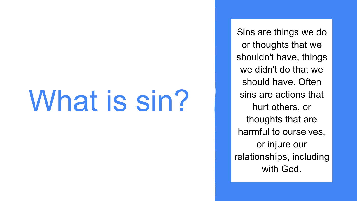# What is sin?

Sins are things we do or thoughts that we shouldn't have, things we didn't do that we should have. Often sins are actions that hurt others, or thoughts that are harmful to ourselves, or injure our relationships, including with God.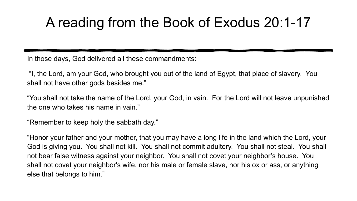## A reading from the Book of Exodus 20:1-17

In those days, God delivered all these commandments:

 "I, the Lord, am your God, who brought you out of the land of Egypt, that place of slavery. You shall not have other gods besides me."

"You shall not take the name of the Lord, your God, in vain. For the Lord will not leave unpunished the one who takes his name in vain."

"Remember to keep holy the sabbath day."

"Honor your father and your mother, that you may have a long life in the land which the Lord, your God is giving you. You shall not kill. You shall not commit adultery. You shall not steal. You shall not bear false witness against your neighbor. You shall not covet your neighbor's house. You shall not covet your neighbor's wife, nor his male or female slave, nor his ox or ass, or anything else that belongs to him."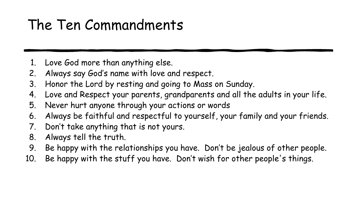## The Ten Commandments

- 1. Love God more than anything else.
- 2. Always say God's name with love and respect.
- 3. Honor the Lord by resting and going to Mass on Sunday.
- 4. Love and Respect your parents, grandparents and all the adults in your life.
- 5. Never hurt anyone through your actions or words
- 6. Always be faithful and respectful to yourself, your family and your friends.
- 7. Don't take anything that is not yours.
- 8. Always tell the truth.
- 9. Be happy with the relationships you have. Don't be jealous of other people.
- 10. Be happy with the stuff you have. Don't wish for other people's things.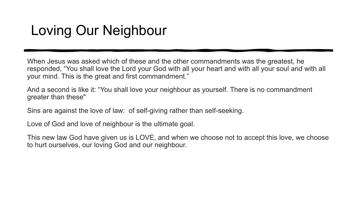## Loving Our Neighbour

When Jesus was asked which of these and the other commandments was the greatest, he responded, "You shall love the Lord your God with all your heart and with all your soul and with all your mind. This is the great and first commandment."

And a second is like it: "You shall love your neighbour as yourself. There is no commandment greater than these"

Sins are against the love of law: of self-giving rather than self-seeking.

Love of God and love of neighbour is the ultimate goal.

This new law God have given us is LOVE, and when we choose not to accept this love, we choose to hurt ourselves, our loving God and our neighbour.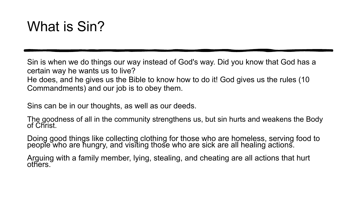## What is Sin?

Sin is when we do things our way instead of God's way. Did you know that God has a certain way he wants us to live? He does, and he gives us the Bible to know how to do it! God gives us the rules (10 Commandments) and our job is to obey them.

Sins can be in our thoughts, as well as our deeds.

The goodness of all in the community strengthens us, but sin hurts and weakens the Body of Christ.

Doing good things like collecting clothing for those who are homeless, serving food to people who are hungry, and visiting those who are sick are all healing actions.

Arguing with a family member, lying, stealing, and cheating are all actions that hurt others.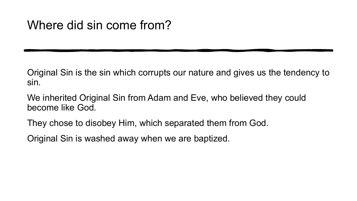#### Where did sin come from?

Original Sin is the sin which corrupts our nature and gives us the tendency to sin.

We inherited Original Sin from Adam and Eve, who believed they could become like God.

They chose to disobey Him, which separated them from God.

Original Sin is washed away when we are baptized.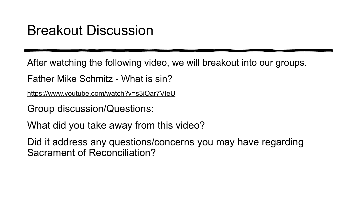#### Breakout Discussion

After watching the following video, we will breakout into our groups.

Father Mike Schmitz - What is sin?

<https://www.youtube.com/watch?v=s3iOar7VIeU>

Group discussion/Questions:

What did you take away from this video?

Did it address any questions/concerns you may have regarding Sacrament of Reconciliation?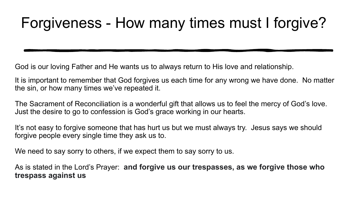## Forgiveness - How many times must I forgive?

God is our loving Father and He wants us to always return to His love and relationship.

It is important to remember that God forgives us each time for any wrong we have done. No matter the sin, or how many times we've repeated it.

The Sacrament of Reconciliation is a wonderful gift that allows us to feel the mercy of God's love. Just the desire to go to confession is God's grace working in our hearts.

It's not easy to forgive someone that has hurt us but we must always try. Jesus says we should forgive people every single time they ask us to.

We need to say sorry to others, if we expect them to say sorry to us.

As is stated in the Lord's Prayer: **and forgive us our trespasses, as we forgive those who trespass against us**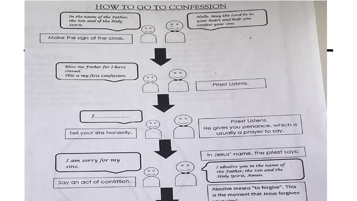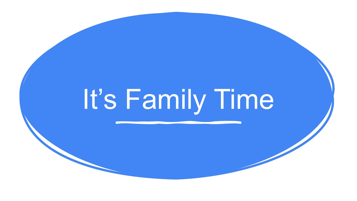# It's Family Time